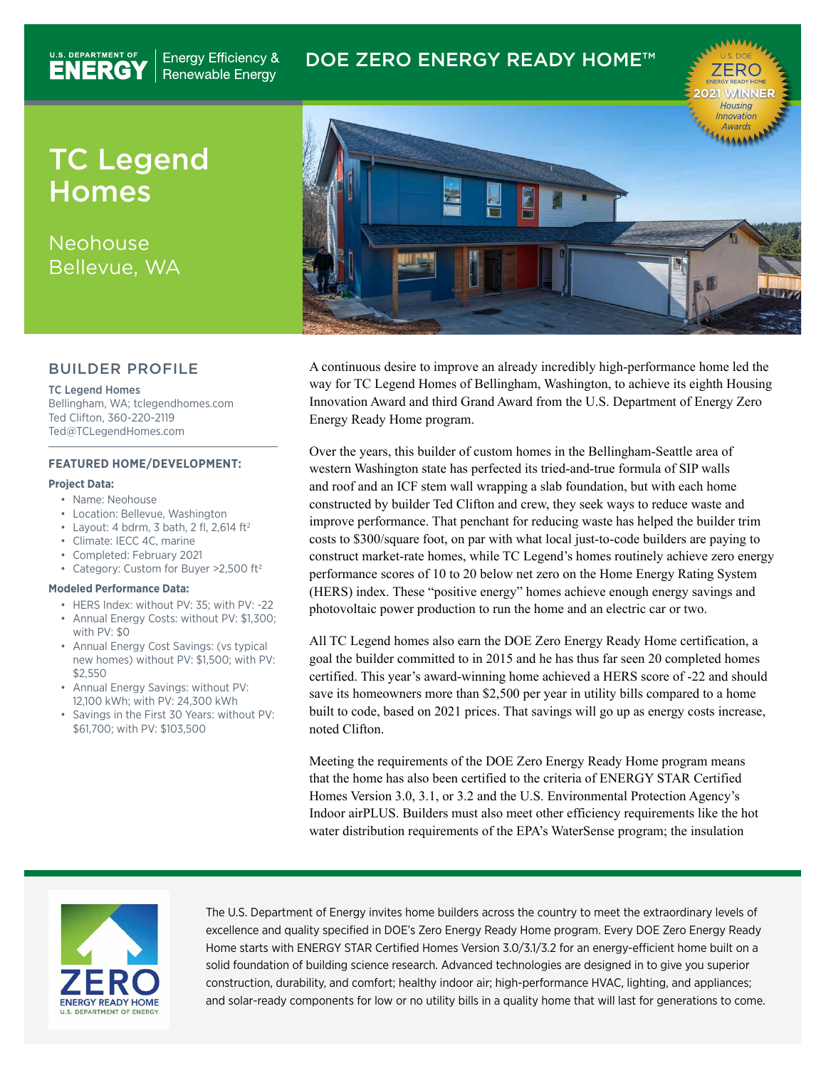# DOE ZERO ENERGY READY HOME™

TC Legend Homes

**Energy Efficiency &** Renewable Energy

U.S. DEPARTMENT OF

Neohouse Bellevue, WA

### BUILDER PROFILE

TC Legend Homes Bellingham, WA; tclegendhomes.com Ted Clifton, 360-220-2119 Ted@TCLegendHomes.com

### **FEATURED HOME/DEVELOPMENT:**

#### **Project Data:**

- Name: Neohouse
- Location: Bellevue, Washington
- Layout: 4 bdrm, 3 bath, 2 fl, 2,614  $ft<sup>2</sup>$
- Climate: IECC 4C, marine
- Completed: February 2021
- Category: Custom for Buyer >2,500 ft2

#### **Modeled Performance Data:**

- HERS Index: without PV: 35; with PV: -22
- Annual Energy Costs: without PV: \$1,300; with PV: \$0
- Annual Energy Cost Savings: (vs typical new homes) without PV: \$1,500; with PV: \$2,550
- Annual Energy Savings: without PV: 12,100 kWh; with PV: 24,300 kWh
- Savings in the First 30 Years: without PV: \$61,700; with PV: \$103,500



A continuous desire to improve an already incredibly high-performance home led the way for TC Legend Homes of Bellingham, Washington, to achieve its eighth Housing Innovation Award and third Grand Award from the U.S. Department of Energy Zero Energy Ready Home program.

Over the years, this builder of custom homes in the Bellingham-Seattle area of western Washington state has perfected its tried-and-true formula of SIP walls and roof and an ICF stem wall wrapping a slab foundation, but with each home constructed by builder Ted Clifton and crew, they seek ways to reduce waste and improve performance. That penchant for reducing waste has helped the builder trim costs to \$300/square foot, on par with what local just-to-code builders are paying to construct market-rate homes, while TC Legend's homes routinely achieve zero energy performance scores of 10 to 20 below net zero on the Home Energy Rating System (HERS) index. These "positive energy" homes achieve enough energy savings and photovoltaic power production to run the home and an electric car or two.

All TC Legend homes also earn the DOE Zero Energy Ready Home certification, a goal the builder committed to in 2015 and he has thus far seen 20 completed homes certified. This year's award-winning home achieved a HERS score of -22 and should save its homeowners more than \$2,500 per year in utility bills compared to a home built to code, based on 2021 prices. That savings will go up as energy costs increase, noted Clifton.

Meeting the requirements of the DOE Zero Energy Ready Home program means that the home has also been certified to the criteria of ENERGY STAR Certified Homes Version 3.0, 3.1, or 3.2 and the U.S. Environmental Protection Agency's Indoor airPLUS. Builders must also meet other efficiency requirements like the hot water distribution requirements of the EPA's WaterSense program; the insulation



The U.S. Department of Energy invites home builders across the country to meet the extraordinary levels of excellence and quality specified in DOE's Zero Energy Ready Home program. Every DOE Zero Energy Ready Home starts with ENERGY STAR Certified Homes Version 3.0/3.1/3.2 for an energy-efficient home built on a solid foundation of building science research. Advanced technologies are designed in to give you superior construction, durability, and comfort; healthy indoor air; high-performance HVAC, lighting, and appliances; and solar-ready components for low or no utility bills in a quality home that will last for generations to come.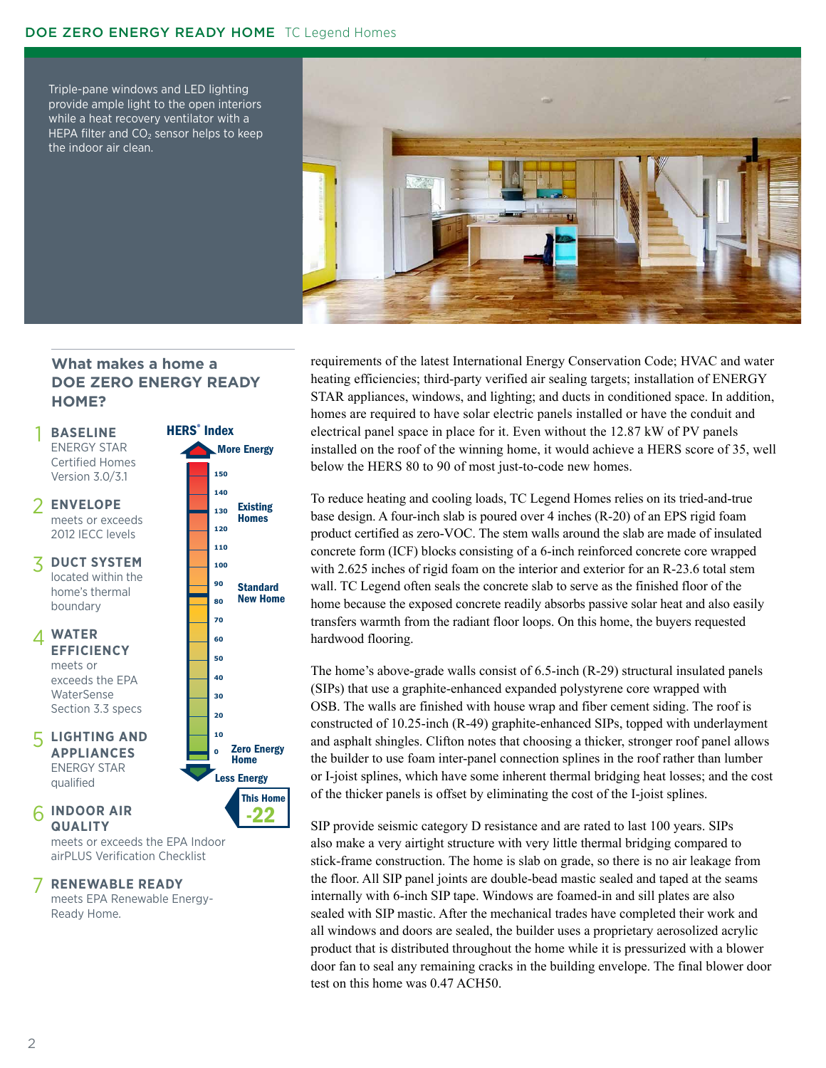### DOE ZERO ENERGY READY HOME TC Legend Homes

Triple-pane windows and LED lighting provide ample light to the open interiors while a heat recovery ventilator with a HEPA filter and  $CO<sub>2</sub>$  sensor helps to keep the indoor air clean.



## **What makes a home a DOE ZERO ENERGY READY HOME?**

1



meets or exceeds the EPA Indoor airPLUS Verification Checklist

#### **RENEWABLE READY** 7

meets EPA Renewable Energy-Ready Home.

requirements of the latest International Energy Conservation Code; HVAC and water heating efficiencies; third-party verified air sealing targets; installation of ENERGY STAR appliances, windows, and lighting; and ducts in conditioned space. In addition, homes are required to have solar electric panels installed or have the conduit and electrical panel space in place for it. Even without the 12.87 kW of PV panels installed on the roof of the winning home, it would achieve a HERS score of 35, well below the HERS 80 to 90 of most just-to-code new homes.

To reduce heating and cooling loads, TC Legend Homes relies on its tried-and-true base design. A four-inch slab is poured over 4 inches (R-20) of an EPS rigid foam product certified as zero-VOC. The stem walls around the slab are made of insulated concrete form (ICF) blocks consisting of a 6-inch reinforced concrete core wrapped with 2.625 inches of rigid foam on the interior and exterior for an R-23.6 total stem wall. TC Legend often seals the concrete slab to serve as the finished floor of the home because the exposed concrete readily absorbs passive solar heat and also easily transfers warmth from the radiant floor loops. On this home, the buyers requested hardwood flooring.

The home's above-grade walls consist of 6.5-inch (R-29) structural insulated panels (SIPs) that use a graphite-enhanced expanded polystyrene core wrapped with OSB. The walls are finished with house wrap and fiber cement siding. The roof is constructed of 10.25-inch (R-49) graphite-enhanced SIPs, topped with underlayment and asphalt shingles. Clifton notes that choosing a thicker, stronger roof panel allows the builder to use foam inter-panel connection splines in the roof rather than lumber or I-joist splines, which have some inherent thermal bridging heat losses; and the cost of the thicker panels is offset by eliminating the cost of the I-joist splines.

SIP provide seismic category D resistance and are rated to last 100 years. SIPs also make a very airtight structure with very little thermal bridging compared to stick-frame construction. The home is slab on grade, so there is no air leakage from the floor. All SIP panel joints are double-bead mastic sealed and taped at the seams internally with 6-inch SIP tape. Windows are foamed-in and sill plates are also sealed with SIP mastic. After the mechanical trades have completed their work and all windows and doors are sealed, the builder uses a proprietary aerosolized acrylic product that is distributed throughout the home while it is pressurized with a blower door fan to seal any remaining cracks in the building envelope. The final blower door test on this home was 0.47 ACH50.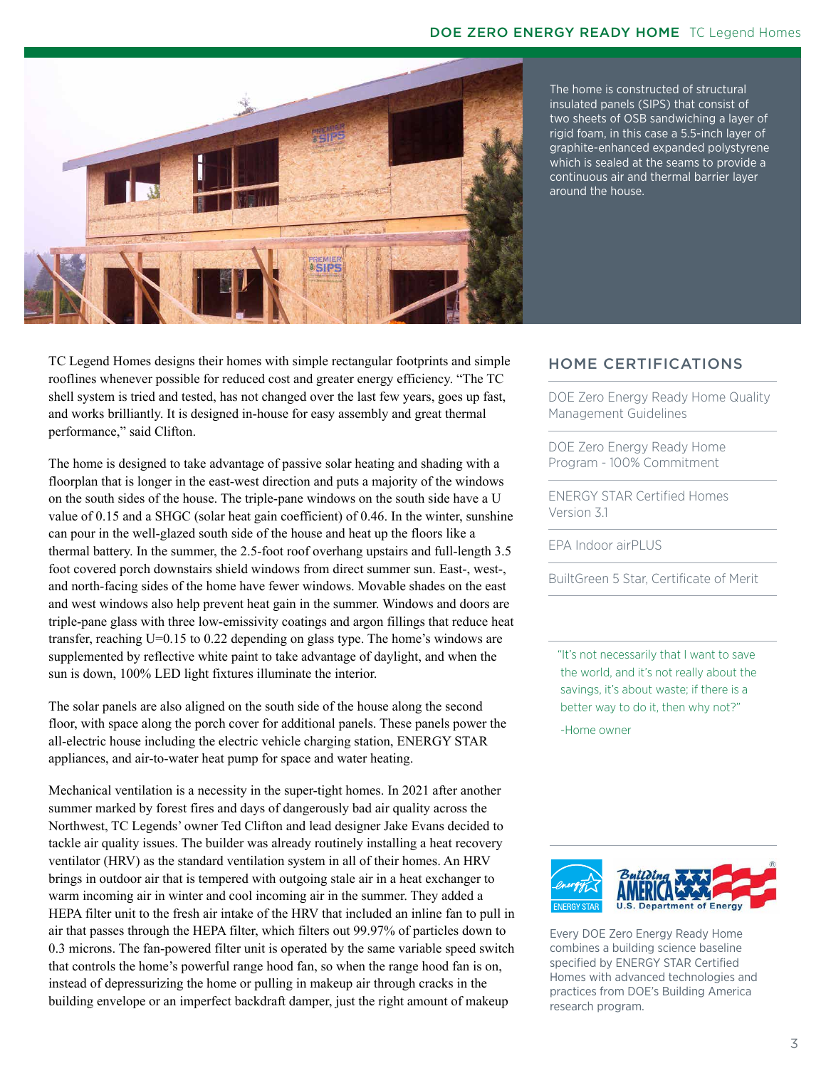

The home is constructed of structural insulated panels (SIPS) that consist of two sheets of OSB sandwiching a layer of rigid foam, in this case a 5.5-inch layer of graphite-enhanced expanded polystyrene which is sealed at the seams to provide a continuous air and thermal barrier layer around the house.

TC Legend Homes designs their homes with simple rectangular footprints and simple rooflines whenever possible for reduced cost and greater energy efficiency. "The TC shell system is tried and tested, has not changed over the last few years, goes up fast, and works brilliantly. It is designed in-house for easy assembly and great thermal performance," said Clifton.

The home is designed to take advantage of passive solar heating and shading with a floorplan that is longer in the east-west direction and puts a majority of the windows on the south sides of the house. The triple-pane windows on the south side have a U value of 0.15 and a SHGC (solar heat gain coefficient) of 0.46. In the winter, sunshine can pour in the well-glazed south side of the house and heat up the floors like a thermal battery. In the summer, the 2.5-foot roof overhang upstairs and full-length 3.5 foot covered porch downstairs shield windows from direct summer sun. East-, west-, and north-facing sides of the home have fewer windows. Movable shades on the east and west windows also help prevent heat gain in the summer. Windows and doors are triple-pane glass with three low-emissivity coatings and argon fillings that reduce heat transfer, reaching U=0.15 to 0.22 depending on glass type. The home's windows are supplemented by reflective white paint to take advantage of daylight, and when the sun is down, 100% LED light fixtures illuminate the interior.

The solar panels are also aligned on the south side of the house along the second floor, with space along the porch cover for additional panels. These panels power the all-electric house including the electric vehicle charging station, ENERGY STAR appliances, and air-to-water heat pump for space and water heating.

Mechanical ventilation is a necessity in the super-tight homes. In 2021 after another summer marked by forest fires and days of dangerously bad air quality across the Northwest, TC Legends' owner Ted Clifton and lead designer Jake Evans decided to tackle air quality issues. The builder was already routinely installing a heat recovery ventilator (HRV) as the standard ventilation system in all of their homes. An HRV brings in outdoor air that is tempered with outgoing stale air in a heat exchanger to warm incoming air in winter and cool incoming air in the summer. They added a HEPA filter unit to the fresh air intake of the HRV that included an inline fan to pull in air that passes through the HEPA filter, which filters out 99.97% of particles down to 0.3 microns. The fan-powered filter unit is operated by the same variable speed switch that controls the home's powerful range hood fan, so when the range hood fan is on, instead of depressurizing the home or pulling in makeup air through cracks in the building envelope or an imperfect backdraft damper, just the right amount of makeup

# HOME CERTIFICATIONS

DOE Zero Energy Ready Home Quality Management Guidelines

DOE Zero Energy Ready Home Program - 100% Commitment

ENERGY STAR Certified Homes Version 3.1

EPA Indoor airPLUS

BuiltGreen 5 Star, Certificate of Merit

 "It's not necessarily that I want to save the world, and it's not really about the savings, it's about waste; if there is a better way to do it, then why not?" -Home owner



Every DOE Zero Energy Ready Home combines a building science baseline specified by ENERGY STAR Certified Homes with advanced technologies and practices from DOE's Building America research program.